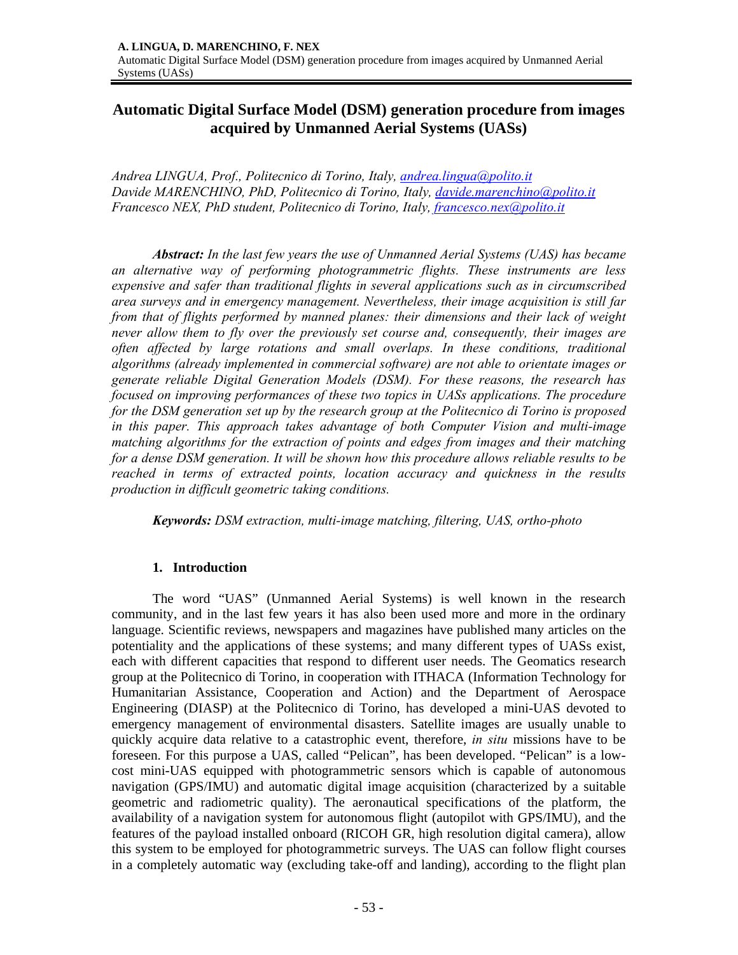# **Automatic Digital Surface Model (DSM) generation procedure from images acquired by Unmanned Aerial Systems (UASs)**

*Andrea LINGUA, Prof., Politecnico di Torino, Italy, andrea.lingua@polito.it Davide MARENCHINO, PhD, Politecnico di Torino, Italy, davide.marenchino@polito.it Francesco NEX, PhD student, Politecnico di Torino, Italy, francesco.nex@polito.it* 

*Abstract: In the last few years the use of Unmanned Aerial Systems (UAS) has became an alternative way of performing photogrammetric flights. These instruments are less expensive and safer than traditional flights in several applications such as in circumscribed area surveys and in emergency management. Nevertheless, their image acquisition is still far from that of flights performed by manned planes: their dimensions and their lack of weight never allow them to fly over the previously set course and, consequently, their images are often affected by large rotations and small overlaps. In these conditions, traditional algorithms (already implemented in commercial software) are not able to orientate images or generate reliable Digital Generation Models (DSM). For these reasons, the research has focused on improving performances of these two topics in UASs applications. The procedure for the DSM generation set up by the research group at the Politecnico di Torino is proposed in this paper. This approach takes advantage of both Computer Vision and multi-image matching algorithms for the extraction of points and edges from images and their matching for a dense DSM generation. It will be shown how this procedure allows reliable results to be reached in terms of extracted points, location accuracy and quickness in the results production in difficult geometric taking conditions.* 

*Keywords: DSM extraction, multi-image matching, filtering, UAS, ortho-photo*

## **1. Introduction**

The word "UAS" (Unmanned Aerial Systems) is well known in the research community, and in the last few years it has also been used more and more in the ordinary language. Scientific reviews, newspapers and magazines have published many articles on the potentiality and the applications of these systems; and many different types of UASs exist, each with different capacities that respond to different user needs. The Geomatics research group at the Politecnico di Torino, in cooperation with ITHACA (Information Technology for Humanitarian Assistance, Cooperation and Action) and the Department of Aerospace Engineering (DIASP) at the Politecnico di Torino, has developed a mini-UAS devoted to emergency management of environmental disasters. Satellite images are usually unable to quickly acquire data relative to a catastrophic event, therefore, *in situ* missions have to be foreseen. For this purpose a UAS, called "Pelican", has been developed. "Pelican" is a lowcost mini-UAS equipped with photogrammetric sensors which is capable of autonomous navigation (GPS/IMU) and automatic digital image acquisition (characterized by a suitable geometric and radiometric quality). The aeronautical specifications of the platform, the availability of a navigation system for autonomous flight (autopilot with GPS/IMU), and the features of the payload installed onboard (RICOH GR, high resolution digital camera), allow this system to be employed for photogrammetric surveys. The UAS can follow flight courses in a completely automatic way (excluding take-off and landing), according to the flight plan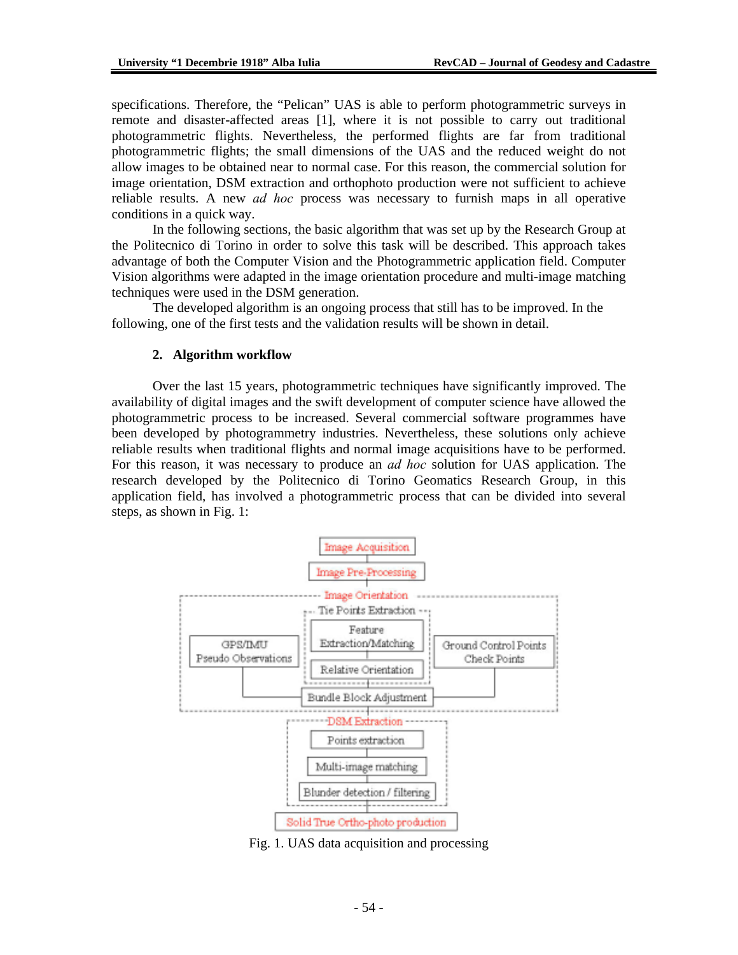specifications. Therefore, the "Pelican" UAS is able to perform photogrammetric surveys in remote and disaster-affected areas [1], where it is not possible to carry out traditional photogrammetric flights. Nevertheless, the performed flights are far from traditional photogrammetric flights; the small dimensions of the UAS and the reduced weight do not allow images to be obtained near to normal case. For this reason, the commercial solution for image orientation, DSM extraction and orthophoto production were not sufficient to achieve reliable results. A new *ad hoc* process was necessary to furnish maps in all operative conditions in a quick way.

In the following sections, the basic algorithm that was set up by the Research Group at the Politecnico di Torino in order to solve this task will be described. This approach takes advantage of both the Computer Vision and the Photogrammetric application field. Computer Vision algorithms were adapted in the image orientation procedure and multi-image matching techniques were used in the DSM generation.

The developed algorithm is an ongoing process that still has to be improved. In the following, one of the first tests and the validation results will be shown in detail.

#### **2. Algorithm workflow**

Over the last 15 years, photogrammetric techniques have significantly improved. The availability of digital images and the swift development of computer science have allowed the photogrammetric process to be increased. Several commercial software programmes have been developed by photogrammetry industries. Nevertheless, these solutions only achieve reliable results when traditional flights and normal image acquisitions have to be performed. For this reason, it was necessary to produce an *ad hoc* solution for UAS application. The research developed by the Politecnico di Torino Geomatics Research Group, in this application field, has involved a photogrammetric process that can be divided into several steps, as shown in Fig. 1:



Fig. 1. UAS data acquisition and processing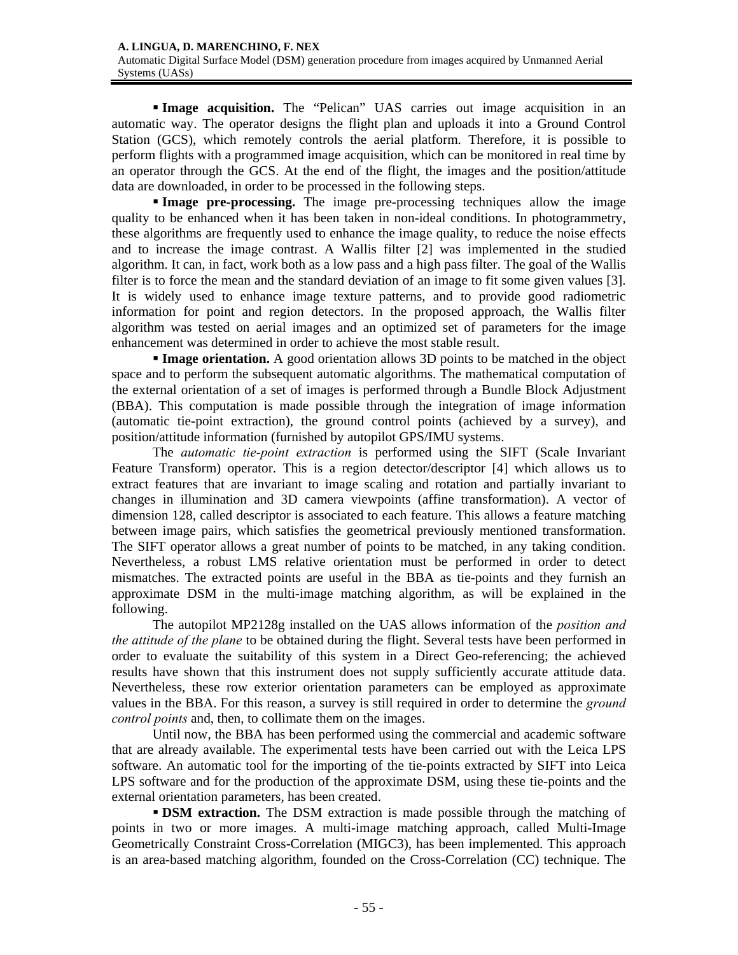**Image acquisition.** The "Pelican" UAS carries out image acquisition in an automatic way. The operator designs the flight plan and uploads it into a Ground Control Station (GCS), which remotely controls the aerial platform. Therefore, it is possible to perform flights with a programmed image acquisition, which can be monitored in real time by an operator through the GCS. At the end of the flight, the images and the position/attitude data are downloaded, in order to be processed in the following steps.

**Image pre-processing.** The image pre-processing techniques allow the image quality to be enhanced when it has been taken in non-ideal conditions. In photogrammetry, these algorithms are frequently used to enhance the image quality, to reduce the noise effects and to increase the image contrast. A Wallis filter [2] was implemented in the studied algorithm. It can, in fact, work both as a low pass and a high pass filter. The goal of the Wallis filter is to force the mean and the standard deviation of an image to fit some given values [3]. It is widely used to enhance image texture patterns, and to provide good radiometric information for point and region detectors. In the proposed approach, the Wallis filter algorithm was tested on aerial images and an optimized set of parameters for the image enhancement was determined in order to achieve the most stable result.

**Image orientation.** A good orientation allows 3D points to be matched in the object space and to perform the subsequent automatic algorithms. The mathematical computation of the external orientation of a set of images is performed through a Bundle Block Adjustment (BBA). This computation is made possible through the integration of image information (automatic tie-point extraction), the ground control points (achieved by a survey), and position/attitude information (furnished by autopilot GPS/IMU systems.

The *automatic tie-point extraction* is performed using the SIFT (Scale Invariant Feature Transform) operator. This is a region detector/descriptor [4] which allows us to extract features that are invariant to image scaling and rotation and partially invariant to changes in illumination and 3D camera viewpoints (affine transformation). A vector of dimension 128, called descriptor is associated to each feature. This allows a feature matching between image pairs, which satisfies the geometrical previously mentioned transformation. The SIFT operator allows a great number of points to be matched, in any taking condition. Nevertheless, a robust LMS relative orientation must be performed in order to detect mismatches. The extracted points are useful in the BBA as tie-points and they furnish an approximate DSM in the multi-image matching algorithm, as will be explained in the following.

The autopilot MP2128g installed on the UAS allows information of the *position and the attitude of the plane* to be obtained during the flight. Several tests have been performed in order to evaluate the suitability of this system in a Direct Geo-referencing; the achieved results have shown that this instrument does not supply sufficiently accurate attitude data. Nevertheless, these row exterior orientation parameters can be employed as approximate values in the BBA. For this reason, a survey is still required in order to determine the *ground control points* and, then, to collimate them on the images.

Until now, the BBA has been performed using the commercial and academic software that are already available. The experimental tests have been carried out with the Leica LPS software. An automatic tool for the importing of the tie-points extracted by SIFT into Leica LPS software and for the production of the approximate DSM, using these tie-points and the external orientation parameters, has been created.

**DSM extraction.** The DSM extraction is made possible through the matching of points in two or more images. A multi-image matching approach, called Multi-Image Geometrically Constraint Cross-Correlation (MIGC3), has been implemented. This approach is an area-based matching algorithm, founded on the Cross-Correlation (CC) technique. The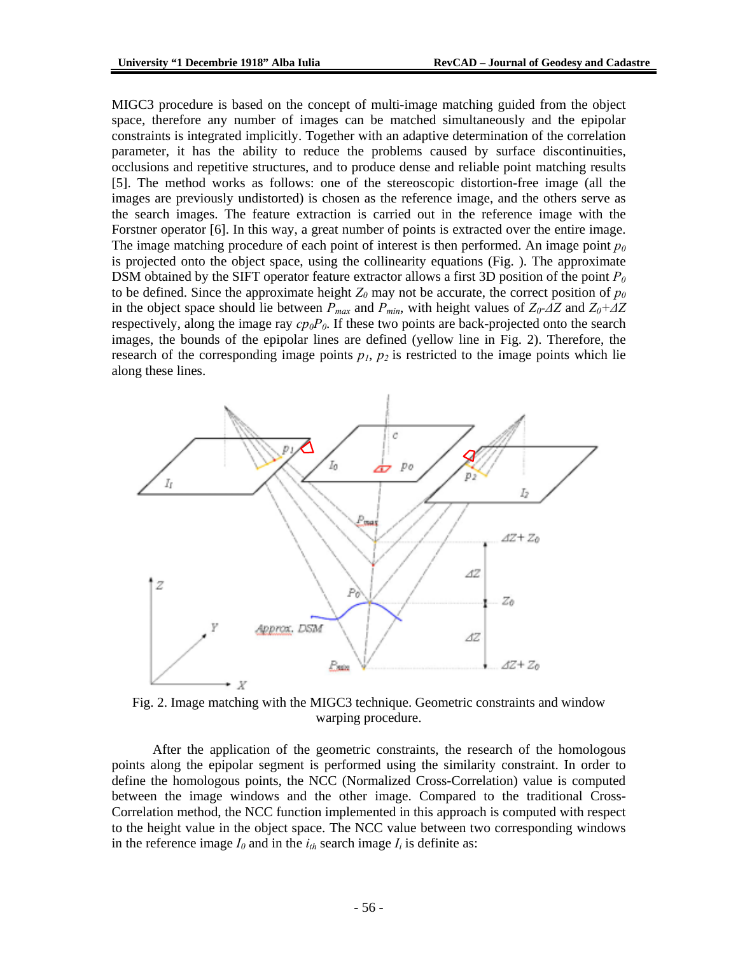MIGC3 procedure is based on the concept of multi-image matching guided from the object space, therefore any number of images can be matched simultaneously and the epipolar constraints is integrated implicitly. Together with an adaptive determination of the correlation parameter, it has the ability to reduce the problems caused by surface discontinuities, occlusions and repetitive structures, and to produce dense and reliable point matching results [5]. The method works as follows: one of the stereoscopic distortion-free image (all the images are previously undistorted) is chosen as the reference image, and the others serve as the search images. The feature extraction is carried out in the reference image with the Forstner operator [6]. In this way, a great number of points is extracted over the entire image. The image matching procedure of each point of interest is then performed. An image point  $p_0$ is projected onto the object space, using the collinearity equations (Fig. ). The approximate DSM obtained by the SIFT operator feature extractor allows a first 3D position of the point *P0* to be defined. Since the approximate height  $Z_0$  may not be accurate, the correct position of  $p_0$ in the object space should lie between  $P_{max}$  and  $P_{min}$ , with height values of  $Z_0$ - $\Delta Z$  and  $Z_0$ + $\Delta Z$ respectively, along the image ray  $cp_0P_0$ . If these two points are back-projected onto the search images, the bounds of the epipolar lines are defined (yellow line in Fig. 2). Therefore, the research of the corresponding image points  $p_1$ ,  $p_2$  is restricted to the image points which lie along these lines.



Fig. 2. Image matching with the MIGC3 technique. Geometric constraints and window warping procedure.

After the application of the geometric constraints, the research of the homologous points along the epipolar segment is performed using the similarity constraint. In order to define the homologous points, the NCC (Normalized Cross-Correlation) value is computed between the image windows and the other image. Compared to the traditional Cross-Correlation method, the NCC function implemented in this approach is computed with respect to the height value in the object space. The NCC value between two corresponding windows in the reference image  $I_0$  and in the  $i_{th}$  search image  $I_i$  is definite as: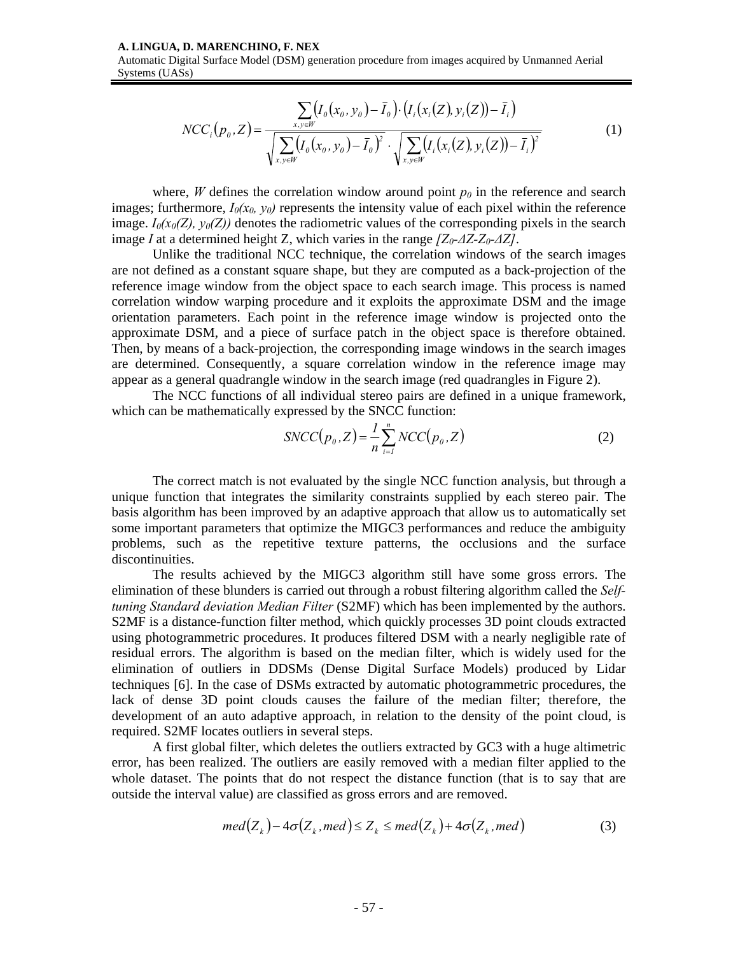#### **A. LINGUA, D. MARENCHINO, F. NEX**

Automatic Digital Surface Model (DSM) generation procedure from images acquired by Unmanned Aerial Systems (UASs)

$$
NCC_i(p_0, Z) = \frac{\sum_{x, y \in W} (I_0(x_0, y_0) - \bar{I}_0) \cdot (I_i(x_i(Z), y_i(Z)) - \bar{I}_i)}{\sqrt{\sum_{x, y \in W} (I_0(x_0, y_0) - \bar{I}_0)^2} \cdot \sqrt{\sum_{x, y \in W} (I_i(x_i(Z), y_i(Z)) - \bar{I}_i)^2}}
$$
(1)

where, *W* defines the correlation window around point  $p_0$  in the reference and search images; furthermore,  $I_0(x_0, y_0)$  represents the intensity value of each pixel within the reference image.  $I_0(x_0(Z), y_0(Z))$  denotes the radiometric values of the corresponding pixels in the search image *I* at a determined height Z, which varies in the range *[Z0-∆Z-Z0-∆Z]*.

Unlike the traditional NCC technique, the correlation windows of the search images are not defined as a constant square shape, but they are computed as a back-projection of the reference image window from the object space to each search image. This process is named correlation window warping procedure and it exploits the approximate DSM and the image orientation parameters. Each point in the reference image window is projected onto the approximate DSM, and a piece of surface patch in the object space is therefore obtained. Then, by means of a back-projection, the corresponding image windows in the search images are determined. Consequently, a square correlation window in the reference image may appear as a general quadrangle window in the search image (red quadrangles in Figure 2).

The NCC functions of all individual stereo pairs are defined in a unique framework, which can be mathematically expressed by the SNCC function:

$$
SNCC(p_0, Z) = \frac{1}{n} \sum_{i=1}^{n} NCC(p_0, Z)
$$
 (2)

The correct match is not evaluated by the single NCC function analysis, but through a unique function that integrates the similarity constraints supplied by each stereo pair. The basis algorithm has been improved by an adaptive approach that allow us to automatically set some important parameters that optimize the MIGC3 performances and reduce the ambiguity problems, such as the repetitive texture patterns, the occlusions and the surface discontinuities.

The results achieved by the MIGC3 algorithm still have some gross errors. The elimination of these blunders is carried out through a robust filtering algorithm called the *Selftuning Standard deviation Median Filter* (S2MF) which has been implemented by the authors. S2MF is a distance-function filter method, which quickly processes 3D point clouds extracted using photogrammetric procedures. It produces filtered DSM with a nearly negligible rate of residual errors. The algorithm is based on the median filter, which is widely used for the elimination of outliers in DDSMs (Dense Digital Surface Models) produced by Lidar techniques [6]. In the case of DSMs extracted by automatic photogrammetric procedures, the lack of dense 3D point clouds causes the failure of the median filter; therefore, the development of an auto adaptive approach, in relation to the density of the point cloud, is required. S2MF locates outliers in several steps.

A first global filter, which deletes the outliers extracted by GC3 with a huge altimetric error, has been realized. The outliers are easily removed with a median filter applied to the whole dataset. The points that do not respect the distance function (that is to say that are outside the interval value) are classified as gross errors and are removed.

$$
med(Zk)-4\sigma(Zk,med) \le Zk \le med(Zk)+4\sigma(Zk,med)
$$
 (3)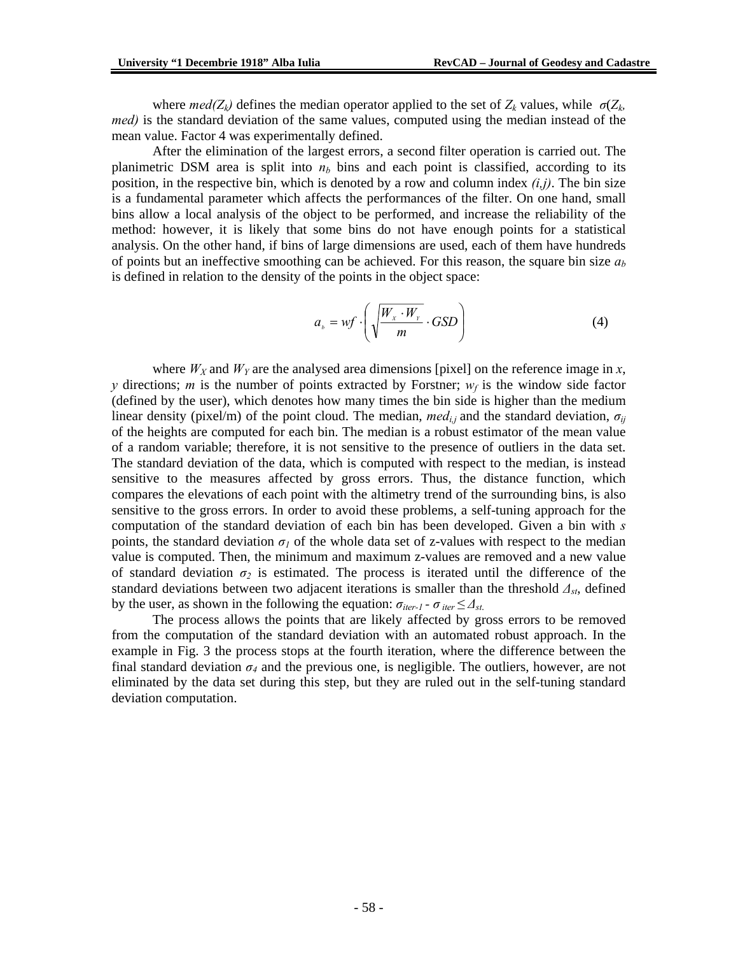where  $med(Z_k)$  defines the median operator applied to the set of  $Z_k$  values, while  $\sigma(Z_k)$ *med)* is the standard deviation of the same values, computed using the median instead of the mean value. Factor 4 was experimentally defined.

After the elimination of the largest errors, a second filter operation is carried out. The planimetric DSM area is split into  $n<sub>b</sub>$  bins and each point is classified, according to its position, in the respective bin, which is denoted by a row and column index *(i,j)*. The bin size is a fundamental parameter which affects the performances of the filter. On one hand, small bins allow a local analysis of the object to be performed, and increase the reliability of the method: however, it is likely that some bins do not have enough points for a statistical analysis. On the other hand, if bins of large dimensions are used, each of them have hundreds of points but an ineffective smoothing can be achieved. For this reason, the square bin size  $a<sub>b</sub>$ is defined in relation to the density of the points in the object space:

$$
a_{s} = wf \cdot \left(\sqrt{\frac{W_{x} \cdot W_{y}}{m}} \cdot GSD\right)
$$
 (4)

where  $W_X$  and  $W_Y$  are the analysed area dimensions [pixel] on the reference image in *x*, *y* directions; *m* is the number of points extracted by Forstner;  $w_f$  is the window side factor (defined by the user), which denotes how many times the bin side is higher than the medium linear density (pixel/m) of the point cloud. The median,  $med_{i,j}$  and the standard deviation,  $\sigma_{ij}$ of the heights are computed for each bin. The median is a robust estimator of the mean value of a random variable; therefore, it is not sensitive to the presence of outliers in the data set. The standard deviation of the data, which is computed with respect to the median, is instead sensitive to the measures affected by gross errors. Thus, the distance function, which compares the elevations of each point with the altimetry trend of the surrounding bins, is also sensitive to the gross errors. In order to avoid these problems, a self-tuning approach for the computation of the standard deviation of each bin has been developed. Given a bin with *s* points, the standard deviation  $\sigma_l$  of the whole data set of z-values with respect to the median value is computed. Then, the minimum and maximum z-values are removed and a new value of standard deviation  $\sigma_2$  is estimated. The process is iterated until the difference of the standard deviations between two adjacent iterations is smaller than the threshold *∆st*, defined by the user, as shown in the following the equation:  $\sigma_{iter-1}$  -  $\sigma_{iter} \leq \Delta_{st}$ .

The process allows the points that are likely affected by gross errors to be removed from the computation of the standard deviation with an automated robust approach. In the example in Fig. 3 the process stops at the fourth iteration, where the difference between the final standard deviation  $\sigma_4$  and the previous one, is negligible. The outliers, however, are not eliminated by the data set during this step, but they are ruled out in the self-tuning standard deviation computation.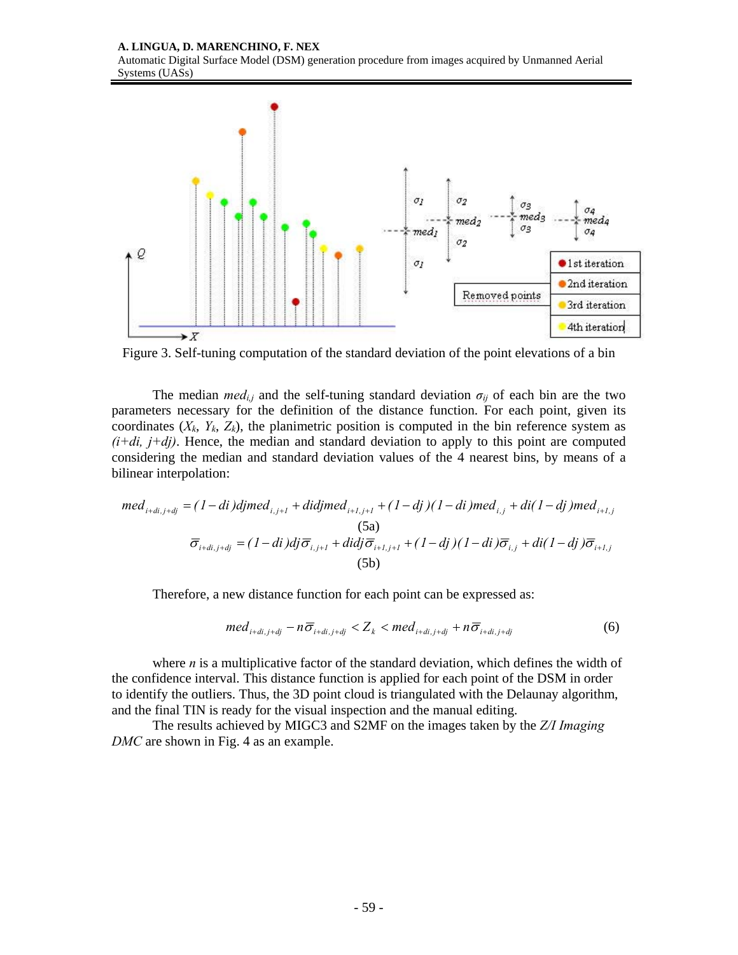**A. LINGUA, D. MARENCHINO, F. NEX**

Automatic Digital Surface Model (DSM) generation procedure from images acquired by Unmanned Aerial Systems (UASs)



Figure 3. Self-tuning computation of the standard deviation of the point elevations of a bin

The median *med<sub>i,j</sub>* and the self-tuning standard deviation  $\sigma_{ij}$  of each bin are the two parameters necessary for the definition of the distance function. For each point, given its coordinates  $(X_k, Y_k, Z_k)$ , the planimetric position is computed in the bin reference system as  $(i+di, j+dj)$ . Hence, the median and standard deviation to apply to this point are computed considering the median and standard deviation values of the 4 nearest bins, by means of a bilinear interpolation:

$$
med_{i+di,j+dj} = (1-di)djmed_{i,j+1} + didjmed_{i+1,j+1} + (1 - dj)(1 - di)med_{i,j} + di(1 - dj)med_{i+1,j}
$$
  
\n(5a)  
\n
$$
\overline{\sigma}_{i+di,j+dj} = (1 - di)dj\overline{\sigma}_{i,j+1} + didj\overline{\sigma}_{i+1,j+1} + (1 - dj)(1 - di)\overline{\sigma}_{i,j} + di(1 - dj)\overline{\sigma}_{i+1,j}
$$
  
\n(5b)

Therefore, a new distance function for each point can be expressed as:

$$
med_{i+di, j+dj} - n\overline{\sigma}_{i+di, j+dj} < Z_k < med_{i+di, j+dj} + n\overline{\sigma}_{i+di, j+dj} \tag{6}
$$

where *n* is a multiplicative factor of the standard deviation, which defines the width of the confidence interval. This distance function is applied for each point of the DSM in order to identify the outliers. Thus, the 3D point cloud is triangulated with the Delaunay algorithm, and the final TIN is ready for the visual inspection and the manual editing.

The results achieved by MIGC3 and S2MF on the images taken by the *Z/I Imaging DMC* are shown in Fig. 4 as an example.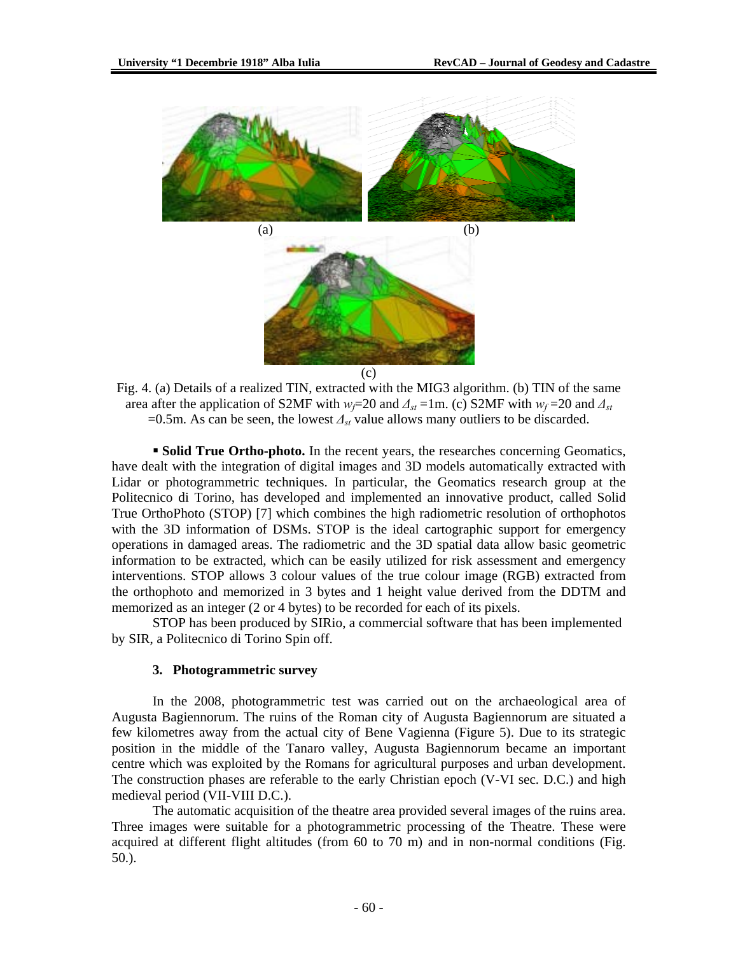

Fig. 4. (a) Details of a realized TIN, extracted with the MIG3 algorithm. (b) TIN of the same area after the application of S2MF with  $w_f$ =20 and  $\Delta_{st}$  =1m. (c) S2MF with  $w_f$ =20 and  $\Delta_{st}$ =0.5m. As can be seen, the lowest *∆st* value allows many outliers to be discarded.

 **Solid True Ortho-photo.** In the recent years, the researches concerning Geomatics, have dealt with the integration of digital images and 3D models automatically extracted with Lidar or photogrammetric techniques. In particular, the Geomatics research group at the Politecnico di Torino, has developed and implemented an innovative product, called Solid True OrthoPhoto (STOP) [7] which combines the high radiometric resolution of orthophotos with the 3D information of DSMs. STOP is the ideal cartographic support for emergency operations in damaged areas. The radiometric and the 3D spatial data allow basic geometric information to be extracted, which can be easily utilized for risk assessment and emergency interventions. STOP allows 3 colour values of the true colour image (RGB) extracted from the orthophoto and memorized in 3 bytes and 1 height value derived from the DDTM and memorized as an integer (2 or 4 bytes) to be recorded for each of its pixels.

STOP has been produced by SIRio, a commercial software that has been implemented by SIR, a Politecnico di Torino Spin off.

#### **3. Photogrammetric survey**

In the 2008, photogrammetric test was carried out on the archaeological area of Augusta Bagiennorum. The ruins of the Roman city of Augusta Bagiennorum are situated a few kilometres away from the actual city of Bene Vagienna (Figure 5). Due to its strategic position in the middle of the Tanaro valley, Augusta Bagiennorum became an important centre which was exploited by the Romans for agricultural purposes and urban development. The construction phases are referable to the early Christian epoch (V-VI sec. D.C.) and high medieval period (VII-VIII D.C.).

The automatic acquisition of the theatre area provided several images of the ruins area. Three images were suitable for a photogrammetric processing of the Theatre. These were acquired at different flight altitudes (from 60 to 70 m) and in non-normal conditions (Fig. 50.).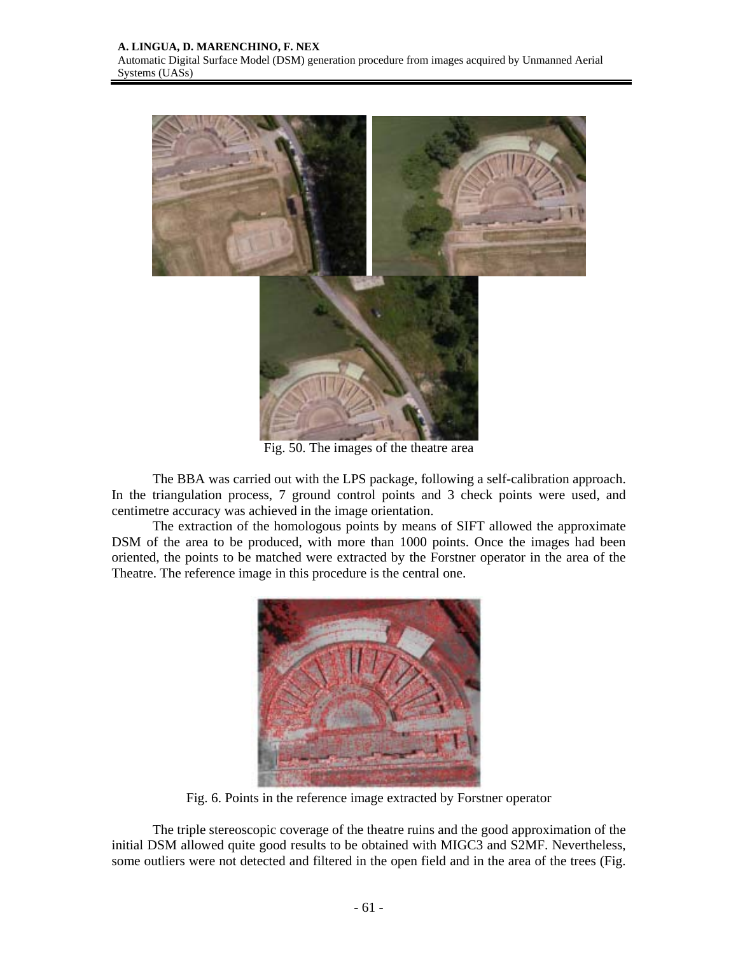

Fig. 50. The images of the theatre area

The BBA was carried out with the LPS package, following a self-calibration approach. In the triangulation process, 7 ground control points and 3 check points were used, and centimetre accuracy was achieved in the image orientation.

The extraction of the homologous points by means of SIFT allowed the approximate DSM of the area to be produced, with more than 1000 points. Once the images had been oriented, the points to be matched were extracted by the Forstner operator in the area of the Theatre. The reference image in this procedure is the central one.



Fig. 6. Points in the reference image extracted by Forstner operator

The triple stereoscopic coverage of the theatre ruins and the good approximation of the initial DSM allowed quite good results to be obtained with MIGC3 and S2MF. Nevertheless, some outliers were not detected and filtered in the open field and in the area of the trees (Fig.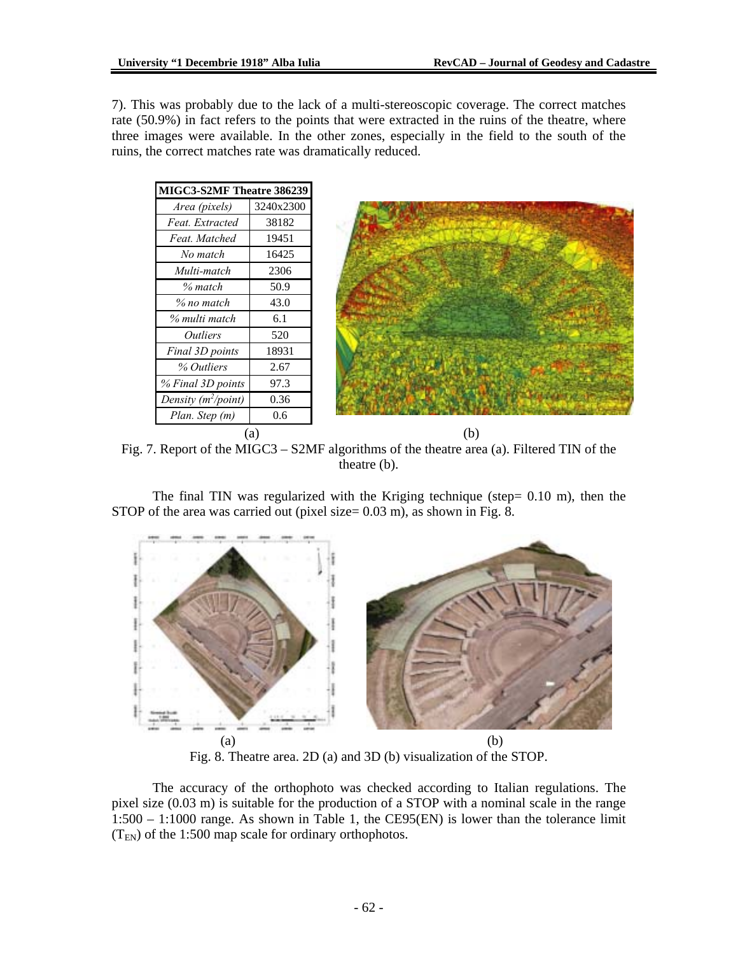7). This was probably due to the lack of a multi-stereoscopic coverage. The correct matches rate (50.9%) in fact refers to the points that were extracted in the ruins of the theatre, where three images were available. In the other zones, especially in the field to the south of the ruins, the correct matches rate was dramatically reduced.

| MIGC3-S2MF Theatre 386239     |           |     |
|-------------------------------|-----------|-----|
| Area (pixels)                 | 3240x2300 |     |
| Feat. Extracted               | 38182     |     |
| Feat. Matched                 | 19451     |     |
| No match                      | 16425     |     |
| Multi-match                   | 2306      |     |
| $%$ match                     | 50.9      |     |
| % no match                    | 43.0      |     |
| % multi match                 | 6.1       |     |
| <i><u><b>Outliers</b></u></i> | 520       |     |
| Final 3D points               | 18931     |     |
| % Outliers                    | 2.67      |     |
| % Final 3D points             | 97.3      |     |
| Density $(m^2$ /point)        | 0.36      |     |
| Plan. Step (m)                | 0.6       |     |
| (a)                           |           | (b) |

Fig. 7. Report of the MIGC3 – S2MF algorithms of the theatre area (a). Filtered TIN of the theatre (b).

The final TIN was regularized with the Kriging technique (step=  $0.10 \text{ m}$ ), then the STOP of the area was carried out (pixel size= 0.03 m), as shown in Fig. 8.



Fig. 8. Theatre area. 2D (a) and 3D (b) visualization of the STOP.

The accuracy of the orthophoto was checked according to Italian regulations. The pixel size (0.03 m) is suitable for the production of a STOP with a nominal scale in the range 1:500 – 1:1000 range. As shown in Table 1, the CE95(EN) is lower than the tolerance limit  $(T_{EN})$  of the 1:500 map scale for ordinary orthophotos.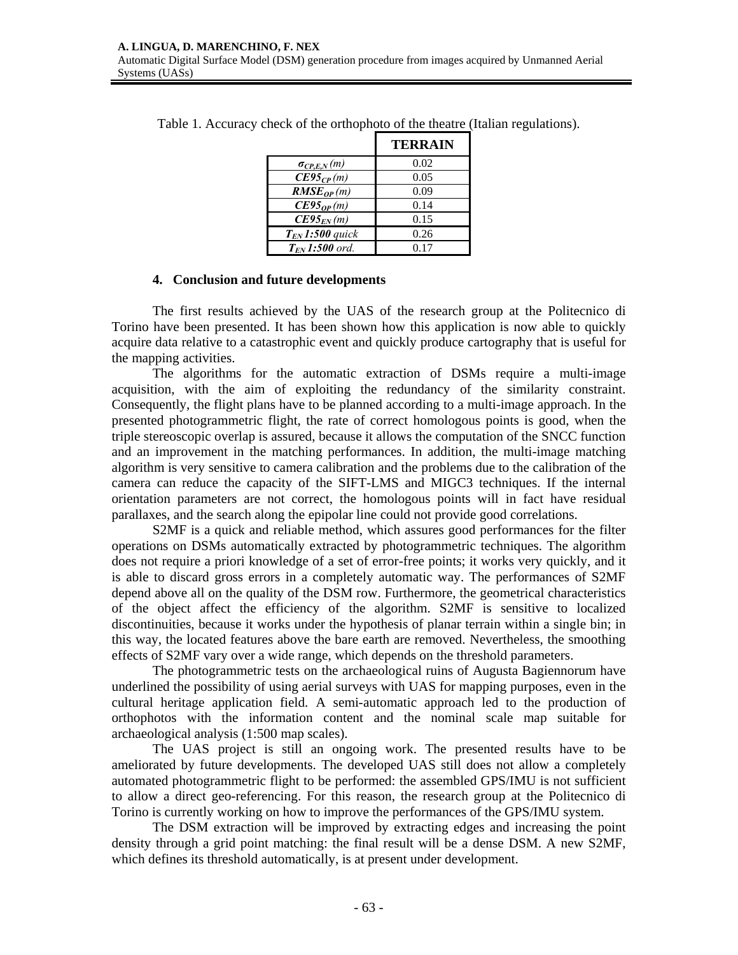|                      | <b>TERRAIN</b> |
|----------------------|----------------|
| $\sigma_{CP,E,N}(m)$ | 0.02           |
| $CE95_{CP}(m)$       | 0.05           |
| $RMSE_{OP}(m)$       | 0.09           |
| $CE95_{OP}(m)$       | 0.14           |
| $CE95_{EN}(m)$       | 0.15           |
| $T_{EN}$ 1:500 quick | 0.26           |
| $T_{FN}$ 1:500 ord.  | 0.17           |

Table 1. Accuracy check of the orthophoto of the theatre (Italian regulations).

## **4. Conclusion and future developments**

The first results achieved by the UAS of the research group at the Politecnico di Torino have been presented. It has been shown how this application is now able to quickly acquire data relative to a catastrophic event and quickly produce cartography that is useful for the mapping activities.

The algorithms for the automatic extraction of DSMs require a multi-image acquisition, with the aim of exploiting the redundancy of the similarity constraint. Consequently, the flight plans have to be planned according to a multi-image approach. In the presented photogrammetric flight, the rate of correct homologous points is good, when the triple stereoscopic overlap is assured, because it allows the computation of the SNCC function and an improvement in the matching performances. In addition, the multi-image matching algorithm is very sensitive to camera calibration and the problems due to the calibration of the camera can reduce the capacity of the SIFT-LMS and MIGC3 techniques. If the internal orientation parameters are not correct, the homologous points will in fact have residual parallaxes, and the search along the epipolar line could not provide good correlations.

S2MF is a quick and reliable method, which assures good performances for the filter operations on DSMs automatically extracted by photogrammetric techniques. The algorithm does not require a priori knowledge of a set of error-free points; it works very quickly, and it is able to discard gross errors in a completely automatic way. The performances of S2MF depend above all on the quality of the DSM row. Furthermore, the geometrical characteristics of the object affect the efficiency of the algorithm. S2MF is sensitive to localized discontinuities, because it works under the hypothesis of planar terrain within a single bin; in this way, the located features above the bare earth are removed. Nevertheless, the smoothing effects of S2MF vary over a wide range, which depends on the threshold parameters.

The photogrammetric tests on the archaeological ruins of Augusta Bagiennorum have underlined the possibility of using aerial surveys with UAS for mapping purposes, even in the cultural heritage application field. A semi-automatic approach led to the production of orthophotos with the information content and the nominal scale map suitable for archaeological analysis (1:500 map scales).

The UAS project is still an ongoing work. The presented results have to be ameliorated by future developments. The developed UAS still does not allow a completely automated photogrammetric flight to be performed: the assembled GPS/IMU is not sufficient to allow a direct geo-referencing. For this reason, the research group at the Politecnico di Torino is currently working on how to improve the performances of the GPS/IMU system.

The DSM extraction will be improved by extracting edges and increasing the point density through a grid point matching: the final result will be a dense DSM. A new S2MF, which defines its threshold automatically, is at present under development.